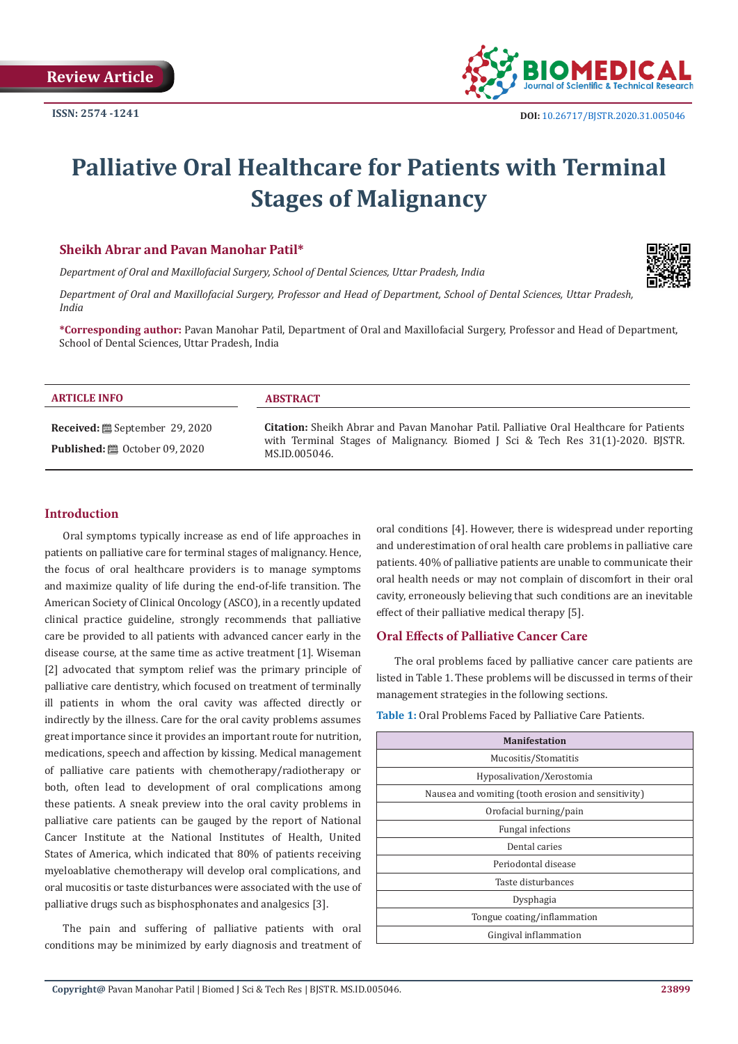

# **Palliative Oral Healthcare for Patients with Terminal Stages of Malignancy**

## **Sheikh Abrar and Pavan Manohar Patil\***

*Department of Oral and Maxillofacial Surgery, School of Dental Sciences, Uttar Pradesh, India*

*Department of Oral and Maxillofacial Surgery, Professor and Head of Department, School of Dental Sciences, Uttar Pradesh, India*

**\*Corresponding author:** Pavan Manohar Patil, Department of Oral and Maxillofacial Surgery, Professor and Head of Department, School of Dental Sciences, Uttar Pradesh, India

| <b>ARTICLE INFO</b>                                                                             | <b>ABSTRACT</b>                                                                                                                                                                                   |
|-------------------------------------------------------------------------------------------------|---------------------------------------------------------------------------------------------------------------------------------------------------------------------------------------------------|
| <b>Received:</b> . September 29, 2020<br><b>Published:</b> $\ddot{\mathbf{m}}$ October 09, 2020 | <b>Citation:</b> Sheikh Abrar and Pavan Manohar Patil. Palliative Oral Healthcare for Patients<br>with Terminal Stages of Malignancy. Biomed J Sci & Tech Res 31(1)-2020. BJSTR.<br>MS.ID.005046. |

# **Introduction**

Oral symptoms typically increase as end of life approaches in patients on palliative care for terminal stages of malignancy. Hence, the focus of oral healthcare providers is to manage symptoms and maximize quality of life during the end-of-life transition. The American Society of Clinical Oncology (ASCO), in a recently updated clinical practice guideline, strongly recommends that palliative care be provided to all patients with advanced cancer early in the disease course, at the same time as active treatment [1]. Wiseman [2] advocated that symptom relief was the primary principle of palliative care dentistry, which focused on treatment of terminally ill patients in whom the oral cavity was affected directly or indirectly by the illness. Care for the oral cavity problems assumes great importance since it provides an important route for nutrition, medications, speech and affection by kissing. Medical management of palliative care patients with chemotherapy/radiotherapy or both, often lead to development of oral complications among these patients. A sneak preview into the oral cavity problems in palliative care patients can be gauged by the report of National Cancer Institute at the National Institutes of Health, United States of America, which indicated that 80% of patients receiving myeloablative chemotherapy will develop oral complications, and oral mucositis or taste disturbances were associated with the use of palliative drugs such as bisphosphonates and analgesics [3].

The pain and suffering of palliative patients with oral conditions may be minimized by early diagnosis and treatment of oral conditions [4]. However, there is widespread under reporting and underestimation of oral health care problems in palliative care patients. 40% of palliative patients are unable to communicate their oral health needs or may not complain of discomfort in their oral cavity, erroneously believing that such conditions are an inevitable effect of their palliative medical therapy [5].

## **Oral Effects of Palliative Cancer Care**

The oral problems faced by palliative cancer care patients are listed in Table 1. These problems will be discussed in terms of their management strategies in the following sections.

**Table 1:** Oral Problems Faced by Palliative Care Patients.

| <b>Manifestation</b>                                |
|-----------------------------------------------------|
| Mucositis/Stomatitis                                |
| Hyposalivation/Xerostomia                           |
| Nausea and vomiting (tooth erosion and sensitivity) |
| Orofacial burning/pain                              |
| <b>Fungal infections</b>                            |
| Dental caries                                       |
| Periodontal disease                                 |
| Taste disturbances                                  |
| Dysphagia                                           |
| Tongue coating/inflammation                         |
| Gingival inflammation                               |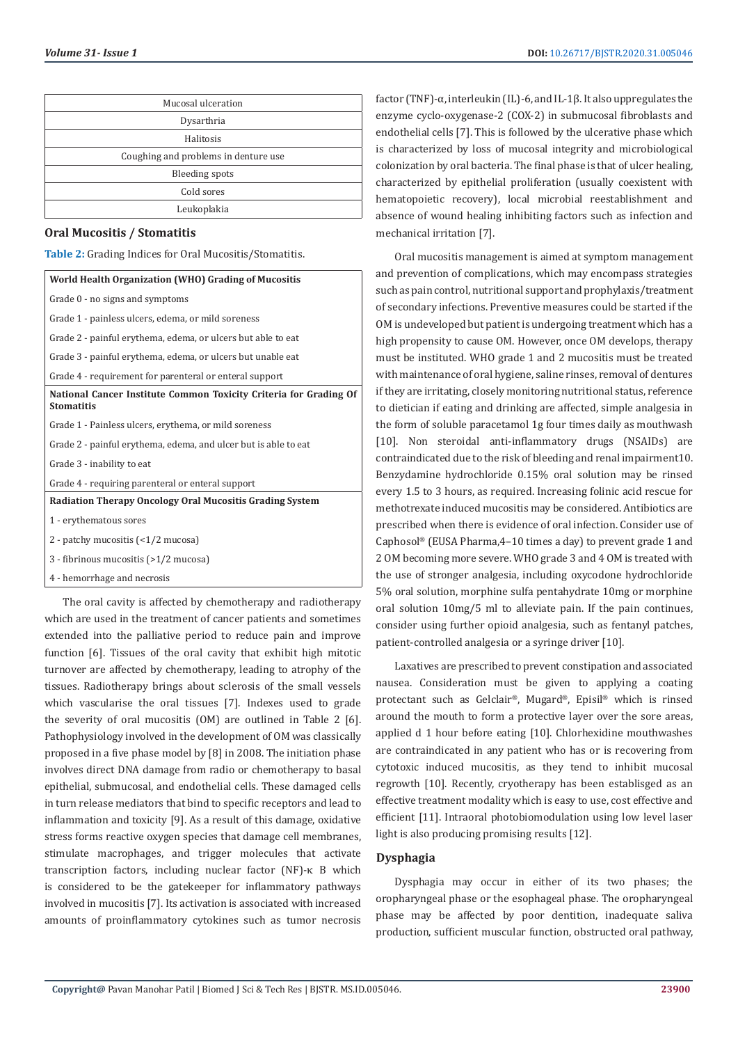| Mucosal ulceration                   |
|--------------------------------------|
| Dysarthria                           |
| Halitosis                            |
| Coughing and problems in denture use |
| <b>Bleeding spots</b>                |
| Cold sores                           |
| Leukoplakia                          |

#### **Oral Mucositis / Stomatitis**

**Table 2:** Grading Indices for Oral Mucositis/Stomatitis.

| World Health Organization (WHO) Grading of Mucositis                                   |
|----------------------------------------------------------------------------------------|
| Grade 0 - no signs and symptoms                                                        |
| Grade 1 - painless ulcers, edema, or mild soreness                                     |
| Grade 2 - painful erythema, edema, or ulcers but able to eat                           |
| Grade 3 - painful erythema, edema, or ulcers but unable eat                            |
| Grade 4 - requirement for parenteral or enteral support                                |
| National Cancer Institute Common Toxicity Criteria for Grading Of<br><b>Stomatitis</b> |
| Grade 1 - Painless ulcers, erythema, or mild soreness                                  |
| Grade 2 - painful erythema, edema, and ulcer but is able to eat                        |
| Grade 3 - inability to eat                                                             |
| Grade 4 - requiring parenteral or enteral support                                      |
| Radiation Therapy Oncology Oral Mucositis Grading System                               |
| 1 - erythematous sores                                                                 |
| 2 - patchy mucositis (<1/2 mucosa)                                                     |
| 3 - fibrinous mucositis (>1/2 mucosa)                                                  |
| 4 - hemorrhage and necrosis                                                            |

The oral cavity is affected by chemotherapy and radiotherapy which are used in the treatment of cancer patients and sometimes extended into the palliative period to reduce pain and improve function [6]. Tissues of the oral cavity that exhibit high mitotic turnover are affected by chemotherapy, leading to atrophy of the tissues. Radiotherapy brings about sclerosis of the small vessels which vascularise the oral tissues [7]. Indexes used to grade the severity of oral mucositis (OM) are outlined in Table 2 [6]. Pathophysiology involved in the development of OM was classically proposed in a five phase model by [8] in 2008. The initiation phase involves direct DNA damage from radio or chemotherapy to basal epithelial, submucosal, and endothelial cells. These damaged cells in turn release mediators that bind to specific receptors and lead to inflammation and toxicity [9]. As a result of this damage, oxidative stress forms reactive oxygen species that damage cell membranes, stimulate macrophages, and trigger molecules that activate transcription factors, including nuclear factor (NF)-κ B which is considered to be the gatekeeper for inflammatory pathways involved in mucositis [7]. Its activation is associated with increased amounts of proinflammatory cytokines such as tumor necrosis

factor (TNF)-α, interleukin (IL)-6, and IL-1β. It also uppregulates the enzyme cyclo-oxygenase-2 (COX-2) in submucosal fibroblasts and endothelial cells [7]. This is followed by the ulcerative phase which is characterized by loss of mucosal integrity and microbiological colonization by oral bacteria. The final phase is that of ulcer healing, characterized by epithelial proliferation (usually coexistent with hematopoietic recovery), local microbial reestablishment and absence of wound healing inhibiting factors such as infection and mechanical irritation [7].

Oral mucositis management is aimed at symptom management and prevention of complications, which may encompass strategies such as pain control, nutritional support and prophylaxis/treatment of secondary infections. Preventive measures could be started if the OM is undeveloped but patient is undergoing treatment which has a high propensity to cause OM. However, once OM develops, therapy must be instituted. WHO grade 1 and 2 mucositis must be treated with maintenance of oral hygiene, saline rinses, removal of dentures if they are irritating, closely monitoring nutritional status, reference to dietician if eating and drinking are affected, simple analgesia in the form of soluble paracetamol 1g four times daily as mouthwash [10]. Non steroidal anti-inflammatory drugs (NSAIDs) are contraindicated due to the risk of bleeding and renal impairment10. Benzydamine hydrochloride 0.15% oral solution may be rinsed every 1.5 to 3 hours, as required. Increasing folinic acid rescue for methotrexate induced mucositis may be considered. Antibiotics are prescribed when there is evidence of oral infection. Consider use of Caphosol® (EUSA Pharma,4–10 times a day) to prevent grade 1 and 2 OM becoming more severe. WHO grade 3 and 4 OM is treated with the use of stronger analgesia, including oxycodone hydrochloride 5% oral solution, morphine sulfa pentahydrate 10mg or morphine oral solution 10mg/5 ml to alleviate pain. If the pain continues, consider using further opioid analgesia, such as fentanyl patches, patient-controlled analgesia or a syringe driver [10].

Laxatives are prescribed to prevent constipation and associated nausea. Consideration must be given to applying a coating protectant such as Gelclair®, Mugard®, Episil® which is rinsed around the mouth to form a protective layer over the sore areas, applied d 1 hour before eating [10]. Chlorhexidine mouthwashes are contraindicated in any patient who has or is recovering from cytotoxic induced mucositis, as they tend to inhibit mucosal regrowth [10]. Recently, cryotherapy has been establisged as an effective treatment modality which is easy to use, cost effective and efficient [11]. Intraoral photobiomodulation using low level laser light is also producing promising results [12].

## **Dysphagia**

Dysphagia may occur in either of its two phases; the oropharyngeal phase or the esophageal phase. The oropharyngeal phase may be affected by poor dentition, inadequate saliva production, sufficient muscular function, obstructed oral pathway,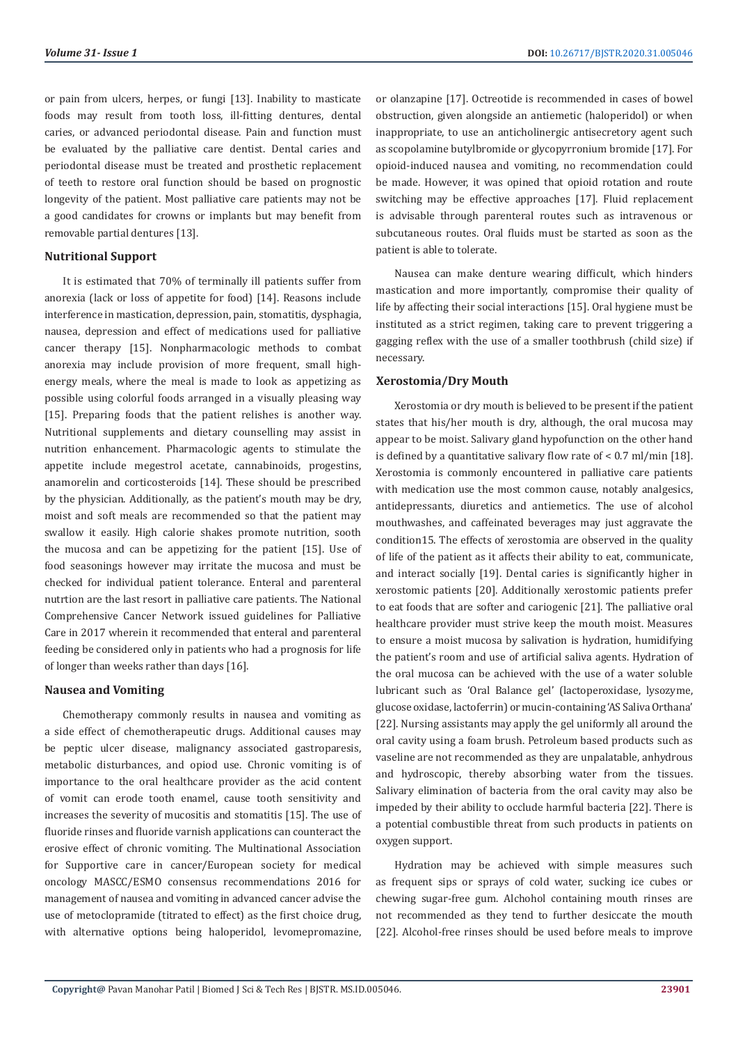or pain from ulcers, herpes, or fungi [13]. Inability to masticate foods may result from tooth loss, ill-fitting dentures, dental caries, or advanced periodontal disease. Pain and function must be evaluated by the palliative care dentist. Dental caries and periodontal disease must be treated and prosthetic replacement of teeth to restore oral function should be based on prognostic longevity of the patient. Most palliative care patients may not be a good candidates for crowns or implants but may benefit from removable partial dentures [13].

#### **Nutritional Support**

It is estimated that 70% of terminally ill patients suffer from anorexia (lack or loss of appetite for food) [14]. Reasons include interference in mastication, depression, pain, stomatitis, dysphagia, nausea, depression and effect of medications used for palliative cancer therapy [15]. Nonpharmacologic methods to combat anorexia may include provision of more frequent, small highenergy meals, where the meal is made to look as appetizing as possible using colorful foods arranged in a visually pleasing way [15]. Preparing foods that the patient relishes is another way. Nutritional supplements and dietary counselling may assist in nutrition enhancement. Pharmacologic agents to stimulate the appetite include megestrol acetate, cannabinoids, progestins, anamorelin and corticosteroids [14]. These should be prescribed by the physician. Additionally, as the patient's mouth may be dry, moist and soft meals are recommended so that the patient may swallow it easily. High calorie shakes promote nutrition, sooth the mucosa and can be appetizing for the patient [15]. Use of food seasonings however may irritate the mucosa and must be checked for individual patient tolerance. Enteral and parenteral nutrtion are the last resort in palliative care patients. The National Comprehensive Cancer Network issued guidelines for Palliative Care in 2017 wherein it recommended that enteral and parenteral feeding be considered only in patients who had a prognosis for life of longer than weeks rather than days [16].

#### **Nausea and Vomiting**

Chemotherapy commonly results in nausea and vomiting as a side effect of chemotherapeutic drugs. Additional causes may be peptic ulcer disease, malignancy associated gastroparesis, metabolic disturbances, and opiod use. Chronic vomiting is of importance to the oral healthcare provider as the acid content of vomit can erode tooth enamel, cause tooth sensitivity and increases the severity of mucositis and stomatitis [15]. The use of fluoride rinses and fluoride varnish applications can counteract the erosive effect of chronic vomiting. The Multinational Association for Supportive care in cancer/European society for medical oncology MASCC/ESMO consensus recommendations 2016 for management of nausea and vomiting in advanced cancer advise the use of metoclopramide (titrated to effect) as the first choice drug, with alternative options being haloperidol, levomepromazine, or olanzapine [17]. Octreotide is recommended in cases of bowel obstruction, given alongside an antiemetic (haloperidol) or when inappropriate, to use an anticholinergic antisecretory agent such as scopolamine butylbromide or glycopyrronium bromide [17]. For opioid-induced nausea and vomiting, no recommendation could be made. However, it was opined that opioid rotation and route switching may be effective approaches [17]. Fluid replacement is advisable through parenteral routes such as intravenous or subcutaneous routes. Oral fluids must be started as soon as the patient is able to tolerate.

Nausea can make denture wearing difficult, which hinders mastication and more importantly, compromise their quality of life by affecting their social interactions [15]. Oral hygiene must be instituted as a strict regimen, taking care to prevent triggering a gagging reflex with the use of a smaller toothbrush (child size) if necessary.

#### **Xerostomia/Dry Mouth**

Xerostomia or dry mouth is believed to be present if the patient states that his/her mouth is dry, although, the oral mucosa may appear to be moist. Salivary gland hypofunction on the other hand is defined by a quantitative salivary flow rate of  $\leq 0.7$  ml/min [18]. Xerostomia is commonly encountered in palliative care patients with medication use the most common cause, notably analgesics, antidepressants, diuretics and antiemetics. The use of alcohol mouthwashes, and caffeinated beverages may just aggravate the condition15. The effects of xerostomia are observed in the quality of life of the patient as it affects their ability to eat, communicate, and interact socially [19]. Dental caries is significantly higher in xerostomic patients [20]. Additionally xerostomic patients prefer to eat foods that are softer and cariogenic [21]. The palliative oral healthcare provider must strive keep the mouth moist. Measures to ensure a moist mucosa by salivation is hydration, humidifying the patient's room and use of artificial saliva agents. Hydration of the oral mucosa can be achieved with the use of a water soluble lubricant such as 'Oral Balance gel' (lactoperoxidase, lysozyme, glucose oxidase, lactoferrin) or mucin-containing 'AS Saliva Orthana' [22]. Nursing assistants may apply the gel uniformly all around the oral cavity using a foam brush. Petroleum based products such as vaseline are not recommended as they are unpalatable, anhydrous and hydroscopic, thereby absorbing water from the tissues. Salivary elimination of bacteria from the oral cavity may also be impeded by their ability to occlude harmful bacteria [22]. There is a potential combustible threat from such products in patients on oxygen support.

Hydration may be achieved with simple measures such as frequent sips or sprays of cold water, sucking ice cubes or chewing sugar-free gum. Alchohol containing mouth rinses are not recommended as they tend to further desiccate the mouth [22]. Alcohol-free rinses should be used before meals to improve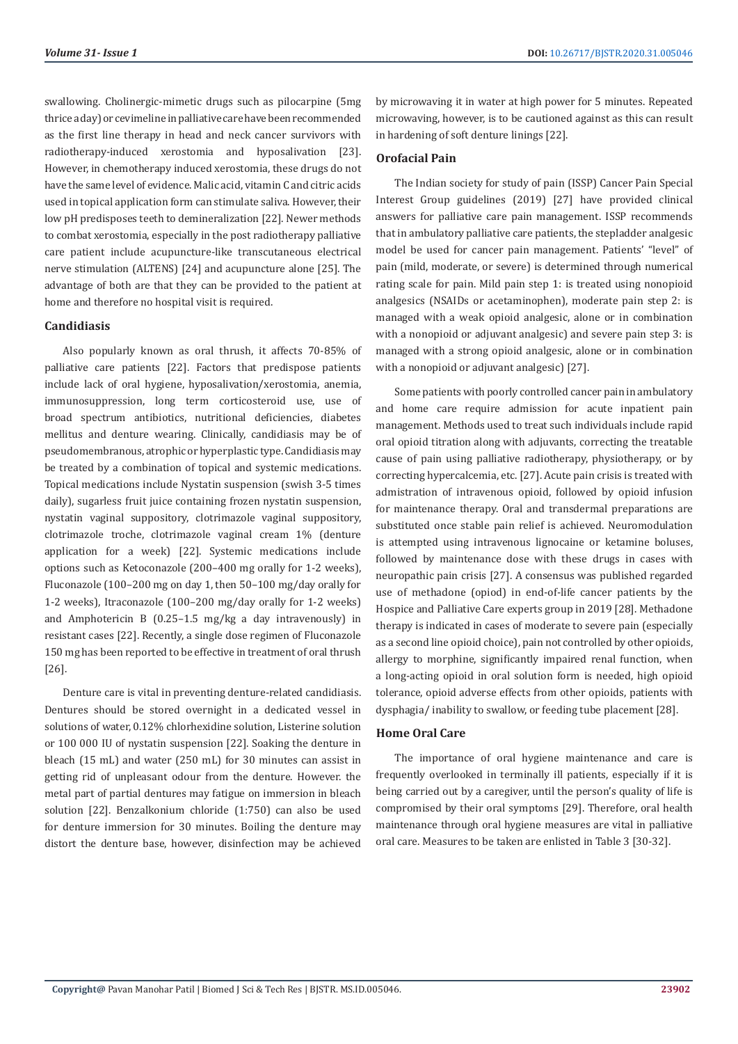swallowing. Cholinergic-mimetic drugs such as pilocarpine (5mg thrice a day) or cevimeline in palliative care have been recommended as the first line therapy in head and neck cancer survivors with radiotherapy-induced xerostomia and hyposalivation [23]. However, in chemotherapy induced xerostomia, these drugs do not have the same level of evidence. Malic acid, vitamin C and citric acids used in topical application form can stimulate saliva. However, their low pH predisposes teeth to demineralization [22]. Newer methods to combat xerostomia, especially in the post radiotherapy palliative care patient include acupuncture-like transcutaneous electrical nerve stimulation (ALTENS) [24] and acupuncture alone [25]. The advantage of both are that they can be provided to the patient at home and therefore no hospital visit is required.

#### **Candidiasis**

Also popularly known as oral thrush, it affects 70-85% of palliative care patients [22]. Factors that predispose patients include lack of oral hygiene, hyposalivation/xerostomia, anemia, immunosuppression, long term corticosteroid use, use of broad spectrum antibiotics, nutritional deficiencies, diabetes mellitus and denture wearing. Clinically, candidiasis may be of pseudomembranous, atrophic or hyperplastic type. Candidiasis may be treated by a combination of topical and systemic medications. Topical medications include Nystatin suspension (swish 3-5 times daily), sugarless fruit juice containing frozen nystatin suspension. nystatin vaginal suppository, clotrimazole vaginal suppository, clotrimazole troche, clotrimazole vaginal cream 1% (denture application for a week) [22]. Systemic medications include options such as Ketoconazole (200–400 mg orally for 1-2 weeks), Fluconazole (100–200 mg on day 1, then 50–100 mg/day orally for 1-2 weeks), Itraconazole (100–200 mg/day orally for 1-2 weeks) and Amphotericin B (0.25–1.5 mg/kg a day intravenously) in resistant cases [22]. Recently, a single dose regimen of Fluconazole 150 mg has been reported to be effective in treatment of oral thrush [26].

Denture care is vital in preventing denture-related candidiasis. Dentures should be stored overnight in a dedicated vessel in solutions of water, 0.12% chlorhexidine solution, Listerine solution or 100 000 IU of nystatin suspension [22]. Soaking the denture in bleach (15 mL) and water (250 mL) for 30 minutes can assist in getting rid of unpleasant odour from the denture. However. the metal part of partial dentures may fatigue on immersion in bleach solution [22]. Benzalkonium chloride (1:750) can also be used for denture immersion for 30 minutes. Boiling the denture may distort the denture base, however, disinfection may be achieved

by microwaving it in water at high power for 5 minutes. Repeated microwaving, however, is to be cautioned against as this can result in hardening of soft denture linings [22].

## **Orofacial Pain**

The Indian society for study of pain (ISSP) Cancer Pain Special Interest Group guidelines (2019) [27] have provided clinical answers for palliative care pain management. ISSP recommends that in ambulatory palliative care patients, the stepladder analgesic model be used for cancer pain management. Patients' "level" of pain (mild, moderate, or severe) is determined through numerical rating scale for pain. Mild pain step 1: is treated using nonopioid analgesics (NSAIDs or acetaminophen), moderate pain step 2: is managed with a weak opioid analgesic, alone or in combination with a nonopioid or adjuvant analgesic) and severe pain step 3: is managed with a strong opioid analgesic, alone or in combination with a nonopioid or adjuvant analgesic) [27].

Some patients with poorly controlled cancer pain in ambulatory and home care require admission for acute inpatient pain management. Methods used to treat such individuals include rapid oral opioid titration along with adjuvants, correcting the treatable cause of pain using palliative radiotherapy, physiotherapy, or by correcting hypercalcemia, etc. [27]. Acute pain crisis is treated with admistration of intravenous opioid, followed by opioid infusion for maintenance therapy. Oral and transdermal preparations are substituted once stable pain relief is achieved. Neuromodulation is attempted using intravenous lignocaine or ketamine boluses, followed by maintenance dose with these drugs in cases with neuropathic pain crisis [27]. A consensus was published regarded use of methadone (opiod) in end-of-life cancer patients by the Hospice and Palliative Care experts group in 2019 [28]. Methadone therapy is indicated in cases of moderate to severe pain (especially as a second line opioid choice), pain not controlled by other opioids, allergy to morphine, significantly impaired renal function, when a long-acting opioid in oral solution form is needed, high opioid tolerance, opioid adverse effects from other opioids, patients with dysphagia/ inability to swallow, or feeding tube placement [28].

## **Home Oral Care**

The importance of oral hygiene maintenance and care is frequently overlooked in terminally ill patients, especially if it is being carried out by a caregiver, until the person's quality of life is compromised by their oral symptoms [29]. Therefore, oral health maintenance through oral hygiene measures are vital in palliative oral care. Measures to be taken are enlisted in Table 3 [30-32].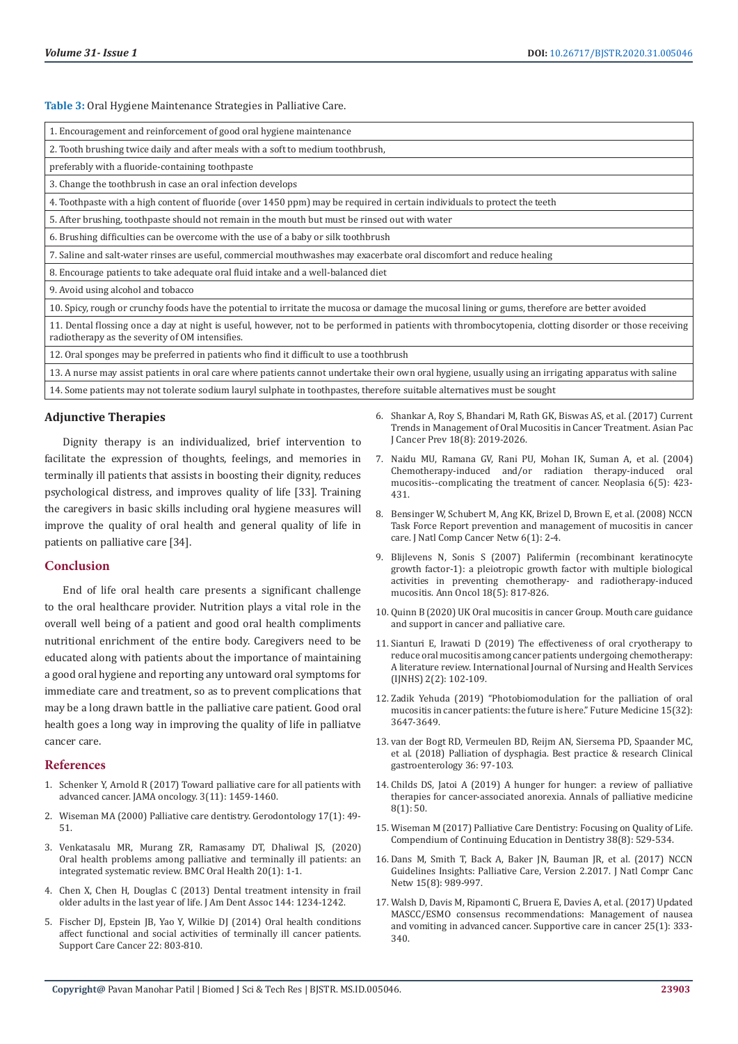**Table 3:** Oral Hygiene Maintenance Strategies in Palliative Care.

| 1. Encouragement and reinforcement of good oral hygiene maintenance |
|---------------------------------------------------------------------|
|---------------------------------------------------------------------|

2. Tooth brushing twice daily and after meals with a soft to medium toothbrush,

preferably with a fluoride-containing toothpaste

3. Change the toothbrush in case an oral infection develops

4. Toothpaste with a high content of fluoride (over 1450 ppm) may be required in certain individuals to protect the teeth

5. After brushing, toothpaste should not remain in the mouth but must be rinsed out with water

6. Brushing difficulties can be overcome with the use of a baby or silk toothbrush

7. Saline and salt-water rinses are useful, commercial mouthwashes may exacerbate oral discomfort and reduce healing

8. Encourage patients to take adequate oral fluid intake and a well-balanced diet

9. Avoid using alcohol and tobacco

10. Spicy, rough or crunchy foods have the potential to irritate the mucosa or damage the mucosal lining or gums, therefore are better avoided

11. Dental flossing once a day at night is useful, however, not to be performed in patients with thrombocytopenia, clotting disorder or those receiving radiotherapy as the severity of OM intensifies.

12. Oral sponges may be preferred in patients who find it difficult to use a toothbrush

13. A nurse may assist patients in oral care where patients cannot undertake their own oral hygiene, usually using an irrigating apparatus with saline 14. Some patients may not tolerate sodium lauryl sulphate in toothpastes, therefore suitable alternatives must be sought

## **Adjunctive Therapies**

Dignity therapy is an individualized, brief intervention to facilitate the expression of thoughts, feelings, and memories in terminally ill patients that assists in boosting their dignity, reduces psychological distress, and improves quality of life [33]. Training the caregivers in basic skills including oral hygiene measures will improve the quality of oral health and general quality of life in patients on palliative care [34].

#### **Conclusion**

End of life oral health care presents a significant challenge to the oral healthcare provider. Nutrition plays a vital role in the overall well being of a patient and good oral health compliments nutritional enrichment of the entire body. Caregivers need to be educated along with patients about the importance of maintaining a good oral hygiene and reporting any untoward oral symptoms for immediate care and treatment, so as to prevent complications that may be a long drawn battle in the palliative care patient. Good oral health goes a long way in improving the quality of life in palliatve cancer care.

#### **References**

- 1. [Schenker Y, Arnold R \(2017\) Toward palliative care for all patients with](https://www.researchgate.net/publication/317016403_Toward_Palliative_Care_for_All_Patients_With_Advanced_Cancer)  [advanced cancer. JAMA oncology. 3\(11\): 1459-1460.](https://www.researchgate.net/publication/317016403_Toward_Palliative_Care_for_All_Patients_With_Advanced_Cancer)
- 2. [Wiseman MA \(2000\) Palliative care dentistry. Gerodontology 17\(1\): 49-](https://onlinelibrary.wiley.com/doi/abs/10.1111/j.1741-2358.2000.00049.x) [51.](https://onlinelibrary.wiley.com/doi/abs/10.1111/j.1741-2358.2000.00049.x)
- 3. [Venkatasalu MR, Murang ZR, Ramasamy DT, Dhaliwal JS, \(2020\)](https://www.researchgate.net/publication/340017328_Oral_health_problems_among_palliative_and_terminally_ill_patients_an_integrated_systematic_review)  [Oral health problems among palliative and terminally ill patients: an](https://www.researchgate.net/publication/340017328_Oral_health_problems_among_palliative_and_terminally_ill_patients_an_integrated_systematic_review)  [integrated systematic review. BMC Oral Health 20\(1\): 1-1.](https://www.researchgate.net/publication/340017328_Oral_health_problems_among_palliative_and_terminally_ill_patients_an_integrated_systematic_review)
- 4. Chen X, Chen H, Douglas C (2013) Dental treatment intensity in frail older adults in the last year of life. J Am Dent Assoc 144: 1234-1242.
- 5. Fischer DJ, Epstein JB, Yao Y, Wilkie DJ (2014) Oral health conditions affect functional and social activities of terminally ill cancer patients. Support Care Cancer 22: 803-810.
- 6. [Shankar A, Roy S, Bhandari M, Rath GK, Biswas AS, et al. \(2017\) Current](http://journal.waocp.org/article_48676.html) [Trends in Management of Oral Mucositis in Cancer Treatment. Asian Pac](http://journal.waocp.org/article_48676.html) [J Cancer Prev 18\(8\): 2019-2026.](http://journal.waocp.org/article_48676.html)
- 7. [Naidu MU, Ramana GV, Rani PU, Mohan IK, Suman A, et al. \(2004\)](https://europepmc.org/article/pmc/pmc1531648) [Chemotherapy-induced and/or radiation therapy-induced oral](https://europepmc.org/article/pmc/pmc1531648) [mucositis--complicating the treatment of cancer. Neoplasia 6\(5\): 423-](https://europepmc.org/article/pmc/pmc1531648) [431.](https://europepmc.org/article/pmc/pmc1531648)
- 8. [Bensinger W, Schubert M, Ang KK, Brizel D, Brown E, et al. \(2008\) NCCN](https://www.nccn.org/JNCCN/PDF/mucositis_2008.pdf) [Task Force Report prevention and management of mucositis in cancer](https://www.nccn.org/JNCCN/PDF/mucositis_2008.pdf) [care. J Natl Comp Cancer Netw 6\(1\): 2-4.](https://www.nccn.org/JNCCN/PDF/mucositis_2008.pdf)
- 9. [Blijlevens N, Sonis S \(2007\) Palifermin \(recombinant keratinocyte](https://www.annalsofoncology.org/article/S0923-7534(19)42018-8/fulltext) [growth factor-1\): a pleiotropic growth factor with multiple biological](https://www.annalsofoncology.org/article/S0923-7534(19)42018-8/fulltext) [activities in preventing chemotherapy- and radiotherapy-induced](https://www.annalsofoncology.org/article/S0923-7534(19)42018-8/fulltext) [mucositis. Ann Oncol 18\(5\): 817-826.](https://www.annalsofoncology.org/article/S0923-7534(19)42018-8/fulltext)
- 10. [Quinn B \(2020\) UK Oral mucositis in cancer Group. Mouth care guidance](https://www.stlukes-hospice.org.uk/wp-content/uploads/2017/06/UK_OM_Guidelines_v3.pdf.%20Accessed%2020th%20June%202020) [and support in cancer and palliative care.](https://www.stlukes-hospice.org.uk/wp-content/uploads/2017/06/UK_OM_Guidelines_v3.pdf.%20Accessed%2020th%20June%202020)
- 11. [Sianturi E, Irawati D \(2019\) The effectiveness of oral cryotherapy to](http://www.ijnhs.net/index.php/ijnhs/article/view/108) [reduce oral mucositis among cancer patients undergoing chemotherapy:](http://www.ijnhs.net/index.php/ijnhs/article/view/108) [A literature review. International Journal of Nursing and Health Services](http://www.ijnhs.net/index.php/ijnhs/article/view/108) [\(IJNHS\) 2\(2\): 102-109.](http://www.ijnhs.net/index.php/ijnhs/article/view/108)
- 12. [Zadik Yehuda \(2019\) "Photobiomodulation for the palliation of oral](https://www.futuremedicine.com/doi/full/10.2217/fon-2019-0461) [mucositis in cancer patients: the future is here." Future Medicine 15\(32\):](https://www.futuremedicine.com/doi/full/10.2217/fon-2019-0461) [3647-3649.](https://www.futuremedicine.com/doi/full/10.2217/fon-2019-0461)
- 13. van der Bogt RD, Vermeulen BD, Reijm AN, Siersema PD, Spaander MC, et al. (2018) Palliation of dysphagia. Best practice & research Clinical gastroenterology 36: 97-103.
- 14. Childs DS, Jatoi A (2019) A hunger for hunger: a review of palliative therapies for cancer-associated anorexia. Annals of palliative medicine 8(1): 50.
- 15. [Wiseman M \(2017\) Palliative Care Dentistry: Focusing on Quality of Life.](https://cdeworld.com/courses/21289-palliative-care-dentistry-focusing-on-quality-of-life) [Compendium of Continuing Education in Dentistry 38\(8\): 529-534.](https://cdeworld.com/courses/21289-palliative-care-dentistry-focusing-on-quality-of-life)
- 16. [Dans M, Smith T, Back A, Baker JN, Bauman JR, et al. \(2017\) NCCN](https://jnccn.org/view/journals/jnccn/15/8/article-p989.xml) [Guidelines Insights: Palliative Care, Version 2.2017. J Natl Compr Canc](https://jnccn.org/view/journals/jnccn/15/8/article-p989.xml) [Netw 15\(8\): 989-997.](https://jnccn.org/view/journals/jnccn/15/8/article-p989.xml)
- 17. [Walsh D, Davis M, Ripamonti C, Bruera E, Davies A, et al. \(2017\) Updated](https://europepmc.org/article/med/27534961) [MASCC/ESMO consensus recommendations: Management of nausea](https://europepmc.org/article/med/27534961) [and vomiting in advanced cancer. Supportive care in cancer 25\(1\): 333-](https://europepmc.org/article/med/27534961) [340.](https://europepmc.org/article/med/27534961)